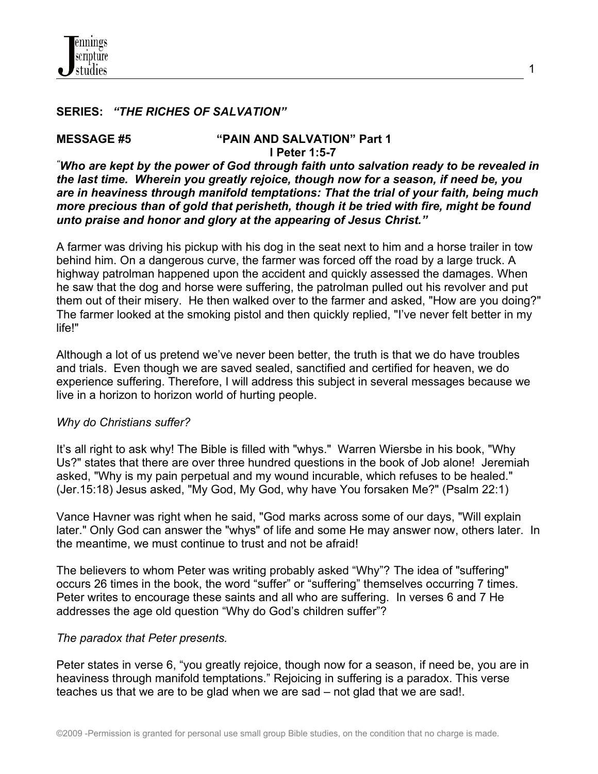

### **SERIES:** *"THE RICHES OF SALVATION"*

#### **MESSAGE #5 "PAIN AND SALVATION" Part 1 I Peter 1:5-7**

*"Who are kept by the power of God through faith unto salvation ready to be revealed in the last time. Wherein you greatly rejoice, though now for a season, if need be, you are in heaviness through manifold temptations: That the trial of your faith, being much more precious than of gold that perisheth, though it be tried with fire, might be found unto praise and honor and glory at the appearing of Jesus Christ."*

A farmer was driving his pickup with his dog in the seat next to him and a horse trailer in tow behind him. On a dangerous curve, the farmer was forced off the road by a large truck. A highway patrolman happened upon the accident and quickly assessed the damages. When he saw that the dog and horse were suffering, the patrolman pulled out his revolver and put them out of their misery. He then walked over to the farmer and asked, "How are you doing?" The farmer looked at the smoking pistol and then quickly replied, "I've never felt better in my life!"

Although a lot of us pretend we've never been better, the truth is that we do have troubles and trials. Even though we are saved sealed, sanctified and certified for heaven, we do experience suffering. Therefore, I will address this subject in several messages because we live in a horizon to horizon world of hurting people.

#### *Why do Christians suffer?*

It's all right to ask why! The Bible is filled with "whys." Warren Wiersbe in his book, "Why Us?" states that there are over three hundred questions in the book of Job alone! Jeremiah asked, "Why is my pain perpetual and my wound incurable, which refuses to be healed." (Jer.15:18) Jesus asked, "My God, My God, why have You forsaken Me?" (Psalm 22:1)

Vance Havner was right when he said, "God marks across some of our days, "Will explain later." Only God can answer the "whys" of life and some He may answer now, others later. In the meantime, we must continue to trust and not be afraid!

The believers to whom Peter was writing probably asked "Why"? The idea of "suffering" occurs 26 times in the book, the word "suffer" or "suffering" themselves occurring 7 times. Peter writes to encourage these saints and all who are suffering. In verses 6 and 7 He addresses the age old question "Why do God's children suffer"?

#### *The paradox that Peter presents.*

Peter states in verse 6, "you greatly rejoice, though now for a season, if need be, you are in heaviness through manifold temptations." Rejoicing in suffering is a paradox. This verse teaches us that we are to be glad when we are sad – not glad that we are sad!.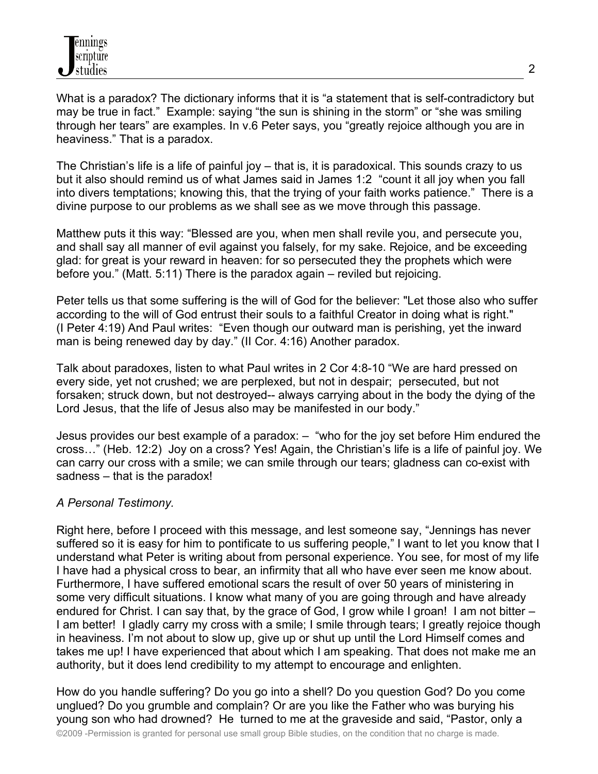What is a paradox? The dictionary informs that it is "a statement that is self-contradictory but may be true in fact." Example: saying "the sun is shining in the storm" or "she was smiling through her tears" are examples. In v.6 Peter says, you "greatly rejoice although you are in heaviness." That is a paradox.

The Christian's life is a life of painful joy – that is, it is paradoxical. This sounds crazy to us but it also should remind us of what James said in James 1:2 "count it all joy when you fall into divers temptations; knowing this, that the trying of your faith works patience." There is a divine purpose to our problems as we shall see as we move through this passage.

Matthew puts it this way: "Blessed are you, when men shall revile you, and persecute you, and shall say all manner of evil against you falsely, for my sake. Rejoice, and be exceeding glad: for great is your reward in heaven: for so persecuted they the prophets which were before you." (Matt. 5:11) There is the paradox again – reviled but rejoicing.

Peter tells us that some suffering is the will of God for the believer: "Let those also who suffer according to the will of God entrust their souls to a faithful Creator in doing what is right." (I Peter 4:19) And Paul writes: "Even though our outward man is perishing, yet the inward man is being renewed day by day." (II Cor. 4:16) Another paradox.

Talk about paradoxes, listen to what Paul writes in 2 Cor 4:8-10 "We are hard pressed on every side, yet not crushed; we are perplexed, but not in despair; persecuted, but not forsaken; struck down, but not destroyed-- always carrying about in the body the dying of the Lord Jesus, that the life of Jesus also may be manifested in our body."

Jesus provides our best example of a paradox: – "who for the joy set before Him endured the cross…" (Heb. 12:2) Joy on a cross? Yes! Again, the Christian's life is a life of painful joy. We can carry our cross with a smile; we can smile through our tears; gladness can co-exist with sadness – that is the paradox!

# *A Personal Testimony.*

Right here, before I proceed with this message, and lest someone say, "Jennings has never suffered so it is easy for him to pontificate to us suffering people," I want to let you know that I understand what Peter is writing about from personal experience. You see, for most of my life I have had a physical cross to bear, an infirmity that all who have ever seen me know about. Furthermore, I have suffered emotional scars the result of over 50 years of ministering in some very difficult situations. I know what many of you are going through and have already endured for Christ. I can say that, by the grace of God, I grow while I groan! I am not bitter – I am better! I gladly carry my cross with a smile; I smile through tears; I greatly rejoice though in heaviness. I'm not about to slow up, give up or shut up until the Lord Himself comes and takes me up! I have experienced that about which I am speaking. That does not make me an authority, but it does lend credibility to my attempt to encourage and enlighten.

How do you handle suffering? Do you go into a shell? Do you question God? Do you come unglued? Do you grumble and complain? Or are you like the Father who was burying his young son who had drowned? He turned to me at the graveside and said, "Pastor, only a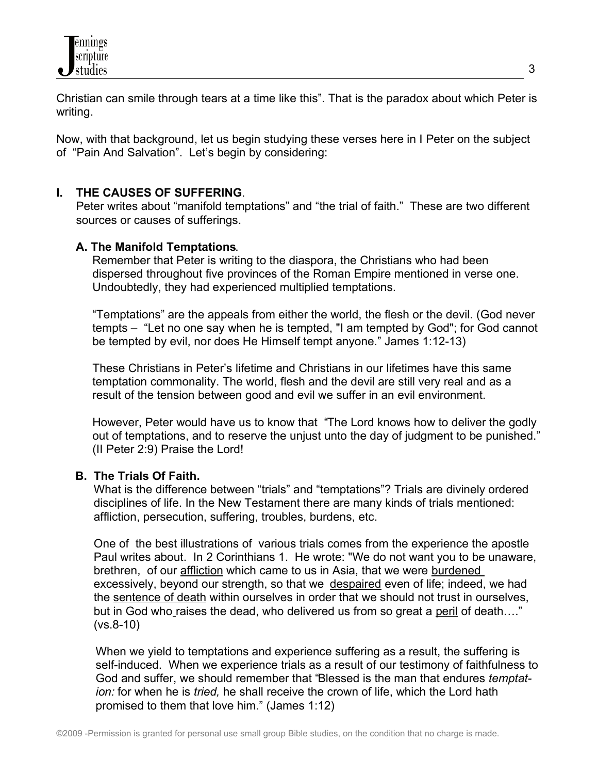Christian can smile through tears at a time like this". That is the paradox about which Peter is writing.

Now, with that background, let us begin studying these verses here in I Peter on the subject of "Pain And Salvation". Let's begin by considering:

# **I. THE CAUSES OF SUFFERING**.

 Peter writes about "manifold temptations" and "the trial of faith." These are two different sources or causes of sufferings.

# **A. The Manifold Temptations**.

 Remember that Peter is writing to the diaspora, the Christians who had been dispersed throughout five provinces of the Roman Empire mentioned in verse one. Undoubtedly, they had experienced multiplied temptations.

 "Temptations" are the appeals from either the world, the flesh or the devil. (God never tempts – "Let no one say when he is tempted, "I am tempted by God"; for God cannot be tempted by evil, nor does He Himself tempt anyone." James 1:12-13)

 These Christians in Peter's lifetime and Christians in our lifetimes have this same temptation commonality. The world, flesh and the devil are still very real and as a result of the tension between good and evil we suffer in an evil environment.

 However, Peter would have us to know that "The Lord knows how to deliver the godly out of temptations, and to reserve the unjust unto the day of judgment to be punished." (II Peter 2:9) Praise the Lord!

## **B. The Trials Of Faith.**

What is the difference between "trials" and "temptations"? Trials are divinely ordered disciplines of life. In the New Testament there are many kinds of trials mentioned: affliction, persecution, suffering, troubles, burdens, etc.

One of the best illustrations of various trials comes from the experience the apostle Paul writes about. In 2 Corinthians 1. He wrote: "We do not want you to be unaware, brethren, of our affliction which came to us in Asia, that we were burdened excessively, beyond our strength, so that we despaired even of life; indeed, we had the sentence of death within ourselves in order that we should not trust in ourselves, but in God who raises the dead, who delivered us from so great a peril of death…." (vs.8-10)

 When we yield to temptations and experience suffering as a result, the suffering is self-induced. When we experience trials as a result of our testimony of faithfulness to God and suffer, we should remember that "Blessed is the man that endures *temptat ion:* for when he is *tried,* he shall receive the crown of life, which the Lord hath promised to them that love him." (James 1:12)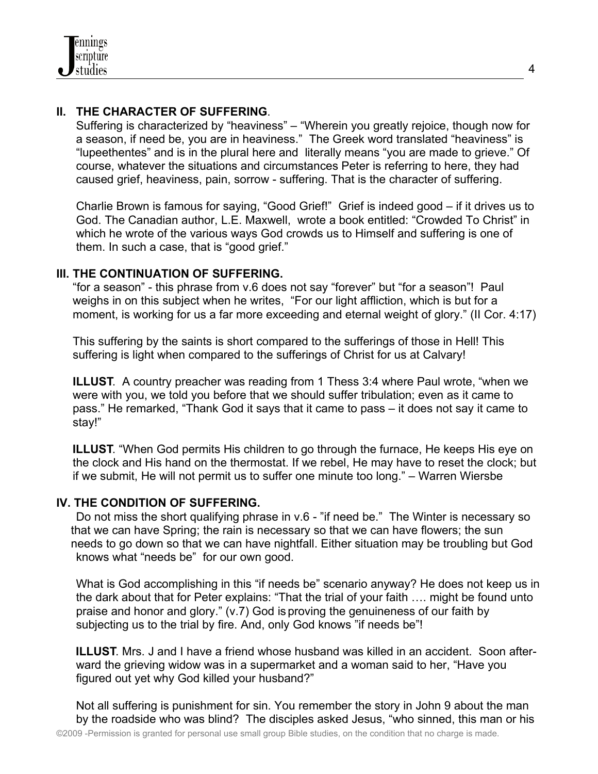# **II. THE CHARACTER OF SUFFERING**.

 Suffering is characterized by "heaviness" – "Wherein you greatly rejoice, though now for a season, if need be, you are in heaviness." The Greek word translated "heaviness" is "lupeethentes" and is in the plural here and literally means "you are made to grieve." Of course, whatever the situations and circumstances Peter is referring to here, they had caused grief, heaviness, pain, sorrow - suffering. That is the character of suffering.

 Charlie Brown is famous for saying, "Good Grief!" Grief is indeed good – if it drives us to God. The Canadian author, L.E. Maxwell, wrote a book entitled: "Crowded To Christ" in which he wrote of the various ways God crowds us to Himself and suffering is one of them. In such a case, that is "good grief."

## **III. THE CONTINUATION OF SUFFERING.**

 "for a season" - this phrase from v.6 does not say "forever" but "for a season"! Paul weighs in on this subject when he writes, "For our light affliction, which is but for a moment, is working for us a far more exceeding and eternal weight of glory." (II Cor. 4:17)

 This suffering by the saints is short compared to the sufferings of those in Hell! This suffering is light when compared to the sufferings of Christ for us at Calvary!

 **ILLUST**. A country preacher was reading from 1 Thess 3:4 where Paul wrote, "when we were with you, we told you before that we should suffer tribulation; even as it came to pass." He remarked, "Thank God it says that it came to pass – it does not say it came to stay!"

**ILLUST.** "When God permits His children to go through the furnace, He keeps His eye on the clock and His hand on the thermostat. If we rebel, He may have to reset the clock; but if we submit, He will not permit us to suffer one minute too long." – Warren Wiersbe

## **IV. THE CONDITION OF SUFFERING.**

 Do not miss the short qualifying phrase in v.6 - "if need be." The Winter is necessary so that we can have Spring; the rain is necessary so that we can have flowers; the sun needs to go down so that we can have nightfall. Either situation may be troubling but God knows what "needs be" for our own good.

 What is God accomplishing in this "if needs be" scenario anyway? He does not keep us in the dark about that for Peter explains: "That the trial of your faith …. might be found unto praise and honor and glory." (v.7) God is proving the genuineness of our faith by subjecting us to the trial by fire. And, only God knows "if needs be"!

 **ILLUST**. Mrs. J and I have a friend whose husband was killed in an accident. Soon after ward the grieving widow was in a supermarket and a woman said to her, "Have you figured out yet why God killed your husband?"

 Not all suffering is punishment for sin. You remember the story in John 9 about the man by the roadside who was blind? The disciples asked Jesus, "who sinned, this man or his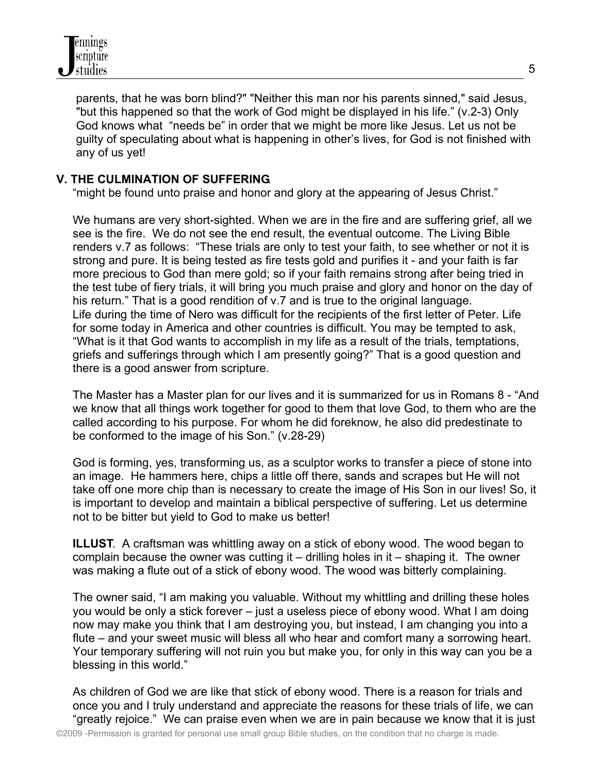

 parents, that he was born blind?" "Neither this man nor his parents sinned," said Jesus, "but this happened so that the work of God might be displayed in his life." (v.2-3) Only God knows what "needs be" in order that we might be more like Jesus. Let us not be guilty of speculating about what is happening in other's lives, for God is not finished with any of us yet!

## **V. THE CULMINATION OF SUFFERING**.

"might be found unto praise and honor and glory at the appearing of Jesus Christ."

 We humans are very short-sighted. When we are in the fire and are suffering grief, all we see is the fire. We do not see the end result, the eventual outcome. The Living Bible renders v.7 as follows: "These trials are only to test your faith, to see whether or not it is strong and pure. It is being tested as fire tests gold and purifies it - and your faith is far more precious to God than mere gold; so if your faith remains strong after being tried in the test tube of fiery trials, it will bring you much praise and glory and honor on the day of his return." That is a good rendition of v.7 and is true to the original language. Life during the time of Nero was difficult for the recipients of the first letter of Peter. Life for some today in America and other countries is difficult. You may be tempted to ask, "What is it that God wants to accomplish in my life as a result of the trials, temptations, griefs and sufferings through which I am presently going?" That is a good question and there is a good answer from scripture.

 The Master has a Master plan for our lives and it is summarized for us in Romans 8 - "And we know that all things work together for good to them that love God, to them who are the called according to his purpose. For whom he did foreknow, he also did predestinate to be conformed to the image of his Son." (v.28-29)

 God is forming, yes, transforming us, as a sculptor works to transfer a piece of stone into an image. He hammers here, chips a little off there, sands and scrapes but He will not take off one more chip than is necessary to create the image of His Son in our lives! So, it is important to develop and maintain a biblical perspective of suffering. Let us determine not to be bitter but yield to God to make us better!

 **ILLUST**. A craftsman was whittling away on a stick of ebony wood. The wood began to complain because the owner was cutting it – drilling holes in it – shaping it. The owner was making a flute out of a stick of ebony wood. The wood was bitterly complaining.

 The owner said, "I am making you valuable. Without my whittling and drilling these holes you would be only a stick forever – just a useless piece of ebony wood. What I am doing now may make you think that I am destroying you, but instead, I am changing you into a flute – and your sweet music will bless all who hear and comfort many a sorrowing heart. Your temporary suffering will not ruin you but make you, for only in this way can you be a blessing in this world."

 As children of God we are like that stick of ebony wood. There is a reason for trials and once you and I truly understand and appreciate the reasons for these trials of life, we can "greatly rejoice." We can praise even when we are in pain because we know that it is just